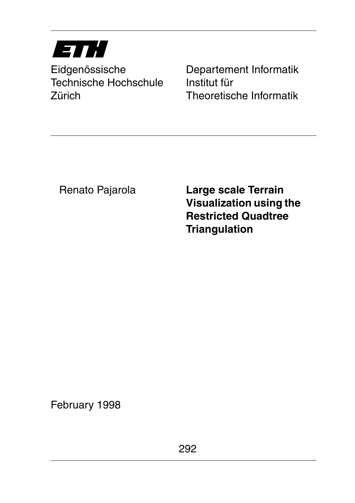# ETH

Technische Hochschule Institut für Zürich Theoretische Informatik

Eidgenössische Departement Informatik

Renato Pajarola

**Large scale Terrain Visualization using the Restricted Quadtree Triangulation**

February 1998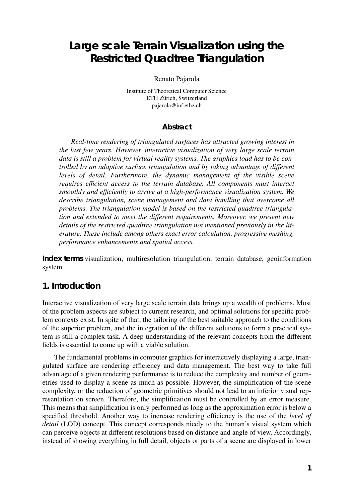# **Large scale Terrain Visualization using the Restricted Quadtree Triangulation**

Renato Pajarola

Institute of Theoretical Computer Science ETH Zürich, Switzerland pajarola@inf.ethz.ch

#### **Abstract**

*Real-time rendering of triangulated surfaces has attracted growing interest in the last few years. However, interactive visualization of very large scale terrain data is still a problem for virtual reality systems. The graphics load has to be controlled by an adaptive surface triangulation and by taking advantage of different levels of detail. Furthermore, the dynamic management of the visible scene requires efficient access to the terrain database. All components must interact smoothly and efficiently to arrive at a high-performance visualization system. We describe triangulation, scene management and data handling that overcome all problems. The triangulation model is based on the restricted quadtree triangulation and extended to meet the different requirements. Moreover, we present new details of the restricted quadtree triangulation not mentioned previously in the literature. These include among others exact error calculation, progressive meshing, performance enhancements and spatial access.*

**Index terms** visualization, multiresolution triangulation, terrain database, geoinformation system

## **1. Introduction**

Interactive visualization of very large scale terrain data brings up a wealth of problems. Most of the problem aspects are subject to current research, and optimal solutions for specific problem contexts exist. In spite of that, the tailoring of the best suitable approach to the conditions of the superior problem, and the integration of the different solutions to form a practical system is still a complex task. A deep understanding of the relevant concepts from the different fields is essential to come up with a viable solution.

The fundamental problems in computer graphics for interactively displaying a large, triangulated surface are rendering efficiency and data management. The best way to take full advantage of a given rendering performance is to reduce the complexity and number of geometries used to display a scene as much as possible. However, the simplification of the scene complexity, or the reduction of geometric primitives should not lead to an inferior visual representation on screen. Therefore, the simplification must be controlled by an error measure. This means that simplification is only performed as long as the approximation error is below a specified threshold. Another way to increase rendering efficiency is the use of the *level of detail* (LOD) concept. This concept corresponds nicely to the human's visual system which can perceive objects at different resolutions based on distance and angle of view. Accordingly, instead of showing everything in full detail, objects or parts of a scene are displayed in lower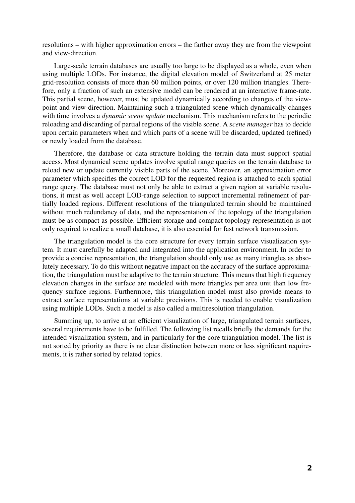resolutions – with higher approximation errors – the farther away they are from the viewpoint and view-direction.

Large-scale terrain databases are usually too large to be displayed as a whole, even when using multiple LODs. For instance, the digital elevation model of Switzerland at 25 meter grid-resolution consists of more than 60 million points, or over 120 million triangles. Therefore, only a fraction of such an extensive model can be rendered at an interactive frame-rate. This partial scene, however, must be updated dynamically according to changes of the viewpoint and view-direction. Maintaining such a triangulated scene which dynamically changes with time involves a *dynamic scene update* mechanism. This mechanism refers to the periodic reloading and discarding of partial regions of the visible scene. A *scene manager* has to decide upon certain parameters when and which parts of a scene will be discarded, updated (refined) or newly loaded from the database.

Therefore, the database or data structure holding the terrain data must support spatial access. Most dynamical scene updates involve spatial range queries on the terrain database to reload new or update currently visible parts of the scene. Moreover, an approximation error parameter which specifies the correct LOD for the requested region is attached to each spatial range query. The database must not only be able to extract a given region at variable resolutions, it must as well accept LOD-range selection to support incremental refinement of partially loaded regions. Different resolutions of the triangulated terrain should be maintained without much redundancy of data, and the representation of the topology of the triangulation must be as compact as possible. Efficient storage and compact topology representation is not only required to realize a small database, it is also essential for fast network transmission.

The triangulation model is the core structure for every terrain surface visualization system. It must carefully be adapted and integrated into the application environment. In order to provide a concise representation, the triangulation should only use as many triangles as absolutely necessary. To do this without negative impact on the accuracy of the surface approximation, the triangulation must be adaptive to the terrain structure. This means that high frequency elevation changes in the surface are modeled with more triangles per area unit than low frequency surface regions. Furthermore, this triangulation model must also provide means to extract surface representations at variable precisions. This is needed to enable visualization using multiple LODs. Such a model is also called a multiresolution triangulation.

Summing up, to arrive at an efficient visualization of large, triangulated terrain surfaces, several requirements have to be fulfilled. The following list recalls briefly the demands for the intended visualization system, and in particularly for the core triangulation model. The list is not sorted by priority as there is no clear distinction between more or less significant requirements, it is rather sorted by related topics.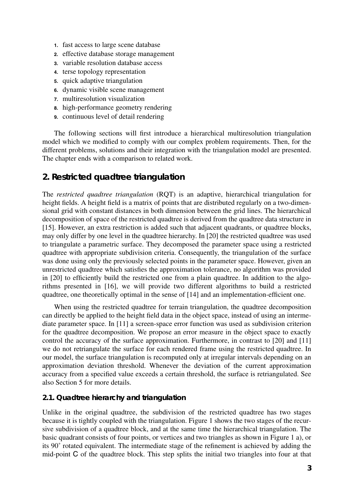- **1.** fast access to large scene database
- **2.** effective database storage management
- **3.** variable resolution database access
- **4.** terse topology representation
- **5.** quick adaptive triangulation
- **6.** dynamic visible scene management
- **7.** multiresolution visualization
- **8.** high-performance geometry rendering
- **9.** continuous level of detail rendering

The following sections will first introduce a hierarchical multiresolution triangulation model which we modified to comply with our complex problem requirements. Then, for the different problems, solutions and their integration with the triangulation model are presented. The chapter ends with a comparison to related work.

## **2. Restricted quadtree triangulation**

The *restricted quadtree triangulation* (RQT) is an adaptive, hierarchical triangulation for height fields. A height field is a matrix of points that are distributed regularly on a two-dimensional grid with constant distances in both dimension between the grid lines. The hierarchical decomposition of space of the restricted quadtree is derived from the quadtree data structure in [15]. However, an extra restriction is added such that adjacent quadrants, or quadtree blocks, may only differ by one level in the quadtree hierarchy. In [20] the restricted quadtree was used to triangulate a parametric surface. They decomposed the parameter space using a restricted quadtree with appropriate subdivision criteria. Consequently, the triangulation of the surface was done using only the previously selected points in the parameter space. However, given an unrestricted quadtree which satisfies the approximation tolerance, no algorithm was provided in [20] to efficiently build the restricted one from a plain quadtree. In addition to the algorithms presented in [16], we will provide two different algorithms to build a restricted quadtree, one theoretically optimal in the sense of [14] and an implementation-efficient one.

When using the restricted quadtree for terrain triangulation, the quadtree decomposition can directly be applied to the height field data in the object space, instead of using an intermediate parameter space. In [11] a screen-space error function was used as subdivision criterion for the quadtree decomposition. We propose an error measure in the object space to exactly control the accuracy of the surface approximation. Furthermore, in contrast to [20] and [11] we do not retriangulate the surface for each rendered frame using the restricted quadtree. In our model, the surface triangulation is recomputed only at irregular intervals depending on an approximation deviation threshold. Whenever the deviation of the current approximation accuracy from a specified value exceeds a certain threshold, the surface is retriangulated. See also Section 5 for more details.

#### **2.1. Quadtree hierarchy and triangulation**

Unlike in the original quadtree, the subdivision of the restricted quadtree has two stages because it is tightly coupled with the triangulation. Figure 1 shows the two stages of the recursive subdivision of a quadtree block, and at the same time the hierarchical triangulation. The basic quadrant consists of four points, or vertices and two triangles as shown in Figure 1 a), or its 90˚ rotated equivalent. The intermediate stage of the refinement is achieved by adding the mid-point C of the quadtree block. This step splits the initial two triangles into four at that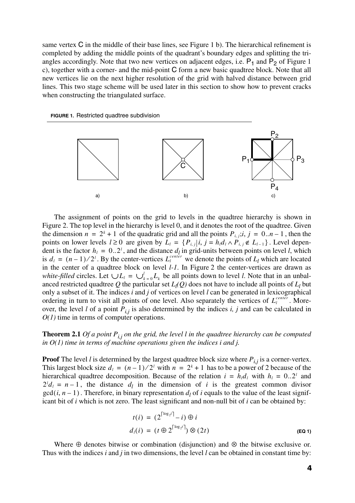same vertex C in the middle of their base lines, see Figure 1 b). The hierarchical refinement is completed by adding the middle points of the quadrant's boundary edges and splitting the triangles accordingly. Note that two new vertices on adjacent edges, i.e.  $P_1$  and  $P_2$  of Figure 1 c), together with a corner- and the mid-point C form a new basic quadtree block. Note that all new vertices lie on the next higher resolution of the grid with halved distance between grid lines. This two stage scheme will be used later in this section to show how to prevent cracks when constructing the triangulated surface.





The assignment of points on the grid to levels in the quadtree hierarchy is shown in Figure 2. The top level in the hierarchy is level 0, and it denotes the root of the quadtree. Given the dimension  $n = 2^k + 1$  of the quadratic grid and all the points  $P_{i,j}; i, j = 0..n-1$ , then the points on lower levels  $l \ge 0$  are given by  $L_l = \{P_{i,j} | i, j = h_l d_l \wedge P_{i,j} \notin L_{l-1}\}\.$  Level dependent is the factor  $h_l = 0..2^l$ , and the distance  $d_l$  in grid-units between points on level *l*, which is  $d_l = (n-1)/2^l$ . By the center-vertices  $L_l^{center}$  we denote the points of  $L_l$  which are located in the center of a quadtree block on level *l-1*. In Figure 2 the center-vertices are drawn as *white-filled* circles. Let  $\bigcup L_i = \bigcup_{k=0}^l L_k$  be all points down to level *l*. Note that in an unbalanced restricted quadtree Q the particular set  $L_l(Q)$  does not have to include all points of  $L_l$  but only a subset of it. The indices *i* and *j* of vertices on level *l* can be generated in lexicographical ordering in turn to visit all points of one level. Also separately the vertices of  $L_l^{center}$ . Moreover, the level *l* of a point  $P_{i,j}$  is also determined by the indices *i*, *j* and can be calculated in *O(1)* time in terms of computer operations.  $h_l = 0..2^l$  $d_l = (n-1)/2^l$ . By the center-vertices  $L_l^{center}$ 

**Theorem 2.1** *Of a point*  $P_{i,j}$  *on the grid, the level l in the quadtree hierarchy can be computed in O(1) time in terms of machine operations given the indices i and j.*

**Proof** The level *l* is determined by the largest quadtree block size where  $P_{i,j}$  is a corner-vertex. This largest block size  $d_1 = (n-1)/2^i$  with  $n = 2^k + 1$  has to be a power of 2 because of the hierarchical quadtree decomposition. Because of the relation  $i = h_l d_l$  with  $h_l = 0..2^l$  and  $2^l d_l = n - 1$ , the distance  $d_l$  in the dimension of *i* is the greatest common divisor  $gcd(i, n-1)$ . Therefore, in binary representation  $d_l$  of *i* equals to the value of the least significant bit of *i* which is not zero. The least significant and non-null bit of *i* can be obtained by:

$$
t(i) = (2^{\lceil \log_2 i \rceil} - i) \oplus i
$$
  
\n
$$
d_i(i) = (t \oplus 2^{\lceil \log_2 i \rceil}) \otimes (2t)
$$
 (Eq 1)

Where  $\oplus$  denotes bitwise or combination (disjunction) and  $\otimes$  the bitwise exclusive or. Thus with the indices *i* and *j* in two dimensions, the level *l* can be obtained in constant time by: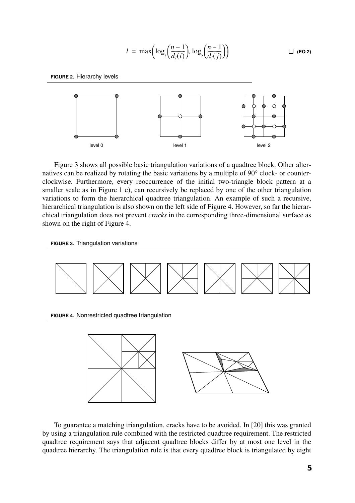$$
l = \max\left(\log_2\left(\frac{n-1}{d_l(i)}\right), \log_2\left(\frac{n-1}{d_l(j)}\right)\right) \qquad \Box \text{ (Eq 2)}
$$

**FIGURE 2.** Hierarchy levels



Figure 3 shows all possible basic triangulation variations of a quadtree block. Other alternatives can be realized by rotating the basic variations by a multiple of 90° clock- or counterclockwise. Furthermore, every reoccurrence of the initial two-triangle block pattern at a smaller scale as in Figure 1 c), can recursively be replaced by one of the other triangulation variations to form the hierarchical quadtree triangulation. An example of such a recursive, hierarchical triangulation is also shown on the left side of Figure 4. However, so far the hierarchical triangulation does not prevent *cracks* in the corresponding three-dimensional surface as shown on the right of Figure 4.





To guarantee a matching triangulation, cracks have to be avoided. In [20] this was granted by using a triangulation rule combined with the restricted quadtree requirement. The restricted quadtree requirement says that adjacent quadtree blocks differ by at most one level in the quadtree hierarchy. The triangulation rule is that every quadtree block is triangulated by eight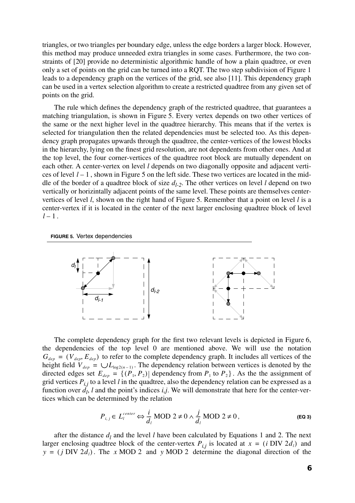triangles, or two triangles per boundary edge, unless the edge borders a larger block. However, this method may produce unneeded extra triangles in some cases. Furthermore, the two constraints of [20] provide no deterministic algorithmic handle of how a plain quadtree, or even only a set of points on the grid can be turned into a RQT. The two step subdivision of Figure 1 leads to a dependency graph on the vertices of the grid, see also [11]. This dependency graph can be used in a vertex selection algorithm to create a restricted quadtree from any given set of points on the grid.

The rule which defines the dependency graph of the restricted quadtree, that guarantees a matching triangulation, is shown in Figure 5. Every vertex depends on two other vertices of the same or the next higher level in the quadtree hierarchy. This means that if the vertex is selected for triangulation then the related dependencies must be selected too. As this dependency graph propagates upwards through the quadtree, the center-vertices of the lowest blocks in the hierarchy, lying on the finest grid resolution, are not dependents from other ones. And at the top level, the four corner-vertices of the quadtree root block are mutually dependent on each other. A center-vertex on level *l* depends on two diagonally opposite and adjacent vertices of level  $l - 1$ , shown in Figure 5 on the left side. These two vertices are located in the middle of the border of a quadtree block of size  $d_{l-2}$ . The other vertices on level *l* depend on two vertically or horizintally adjacent points of the same level. These points are themselves centervertices of level *l*, shown on the right hand of Figure 5. Remember that a point on level *l* is a center-vertex if it is located in the center of the next larger enclosing quadtree block of level  $l-1$ .

**FIGURE 5.** Vertex dependencies



The complete dependency graph for the first two relevant levels is depicted in Figure 6, the dependencies of the top level 0 are mentioned above. We will use the notation  $G_{dep} = (V_{dep}, E_{dep})$  to refer to the complete dependency graph. It includes all vertices of the height field  $V_{dep} = \bigcup L_{log2(n-1)}$ . The dependency relation between vertices is denoted by the directed edges set  $E_{dep} = \{(P_1, P_2) |$  dependency from  $P_1$  to  $P_2\}$ . As the the assignment of grid vertices  $P_{i,j}$  to a level *l* in the quadtree, also the dependency relation can be expressed as a function over  $d_l$ , *l* and the point's indices *i,j*. We will demonstrate that here for the center-vertices which can be determined by the relation

$$
P_{i,j} \in L_l^{center} \Leftrightarrow \frac{i}{d_l} \text{MOD } 2 \neq 0 \land \frac{j}{d_l} \text{MOD } 2 \neq 0 \,, \tag{Eq 3}
$$

after the distance  $d_l$  and the level *l* have been calculated by Equations 1 and 2. The next larger enclosing quadtree block of the center-vertex  $P_{i,j}$  is located at  $x = (i \text{ DIV } 2d_i)$  and  $y = (j \text{ DIV } 2d_i)$ . The x MOD 2 and y MOD 2 determine the diagonal direction of the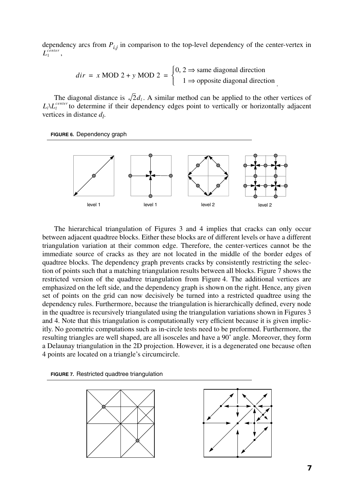dependency arcs from  $P_{i,j}$  in comparison to the top-level dependency of the center-vertex in  $L_1^{\overline{center}}$ ,

$$
dir = x \text{ MOD } 2 + y \text{ MOD } 2 = \begin{cases} 0, 2 \Rightarrow \text{same diagonal direction} \\ 1 \Rightarrow \text{opposite diagonal direction} \end{cases}
$$

.

The diagonal distance is  $\sqrt{2}d_1$ . A similar method can be applied to the other vertices of  $L_l\Lambda L_l^{center}$  to determine if their dependency edges point to vertically or horizontally adjacent vertices in distance  $d_l$ .

**FIGURE 6.** Dependency graph



The hierarchical triangulation of Figures 3 and 4 implies that cracks can only occur between adjacent quadtree blocks. Either these blocks are of different levels or have a different triangulation variation at their common edge. Therefore, the center-vertices cannot be the immediate source of cracks as they are not located in the middle of the border edges of quadtree blocks. The dependency graph prevents cracks by consistently restricting the selection of points such that a matching triangulation results between all blocks. Figure 7 shows the restricted version of the quadtree triangulation from Figure 4. The additional vertices are emphasized on the left side, and the dependency graph is shown on the right. Hence, any given set of points on the grid can now decisively be turned into a restricted quadtree using the dependency rules. Furthermore, because the triangulation is hierarchically defined, every node in the quadtree is recursively triangulated using the triangulation variations shown in Figures 3 and 4. Note that this triangulation is computationally very efficient because it is given implicitly. No geometric computations such as in-circle tests need to be preformed. Furthermore, the resulting triangles are well shaped, are all isosceles and have a 90˚ angle. Moreover, they form a Delaunay triangulation in the 2D projection. However, it is a degenerated one because often 4 points are located on a triangle's circumcircle.

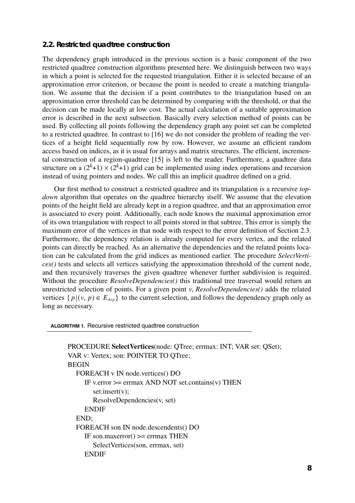#### **2.2. Restricted quadtree construction**

The dependency graph introduced in the previous section is a basic component of the two restricted quadtree construction algorithms presented here. We distinguish between two ways in which a point is selected for the requested triangulation. Either it is selected because of an approximation error criterion, or because the point is needed to create a matching triangulation. We assume that the decision if a point contributes to the triangulation based on an approximation error threshold can be determined by comparing with the threshold, or that the decision can be made locally at low cost. The actual calculation of a suitable approximation error is described in the next subsection. Basically every selection method of points can be used. By collecting all points following the dependency graph any point set can be completed to a restricted quadtree. In contrast to [16] we do not consider the problem of reading the vertices of a height field sequentially row by row. However, we assume an efficient random access based on indices, as it is usual for arrays and matrix structures. The efficient, incremental construction of a region-quadtree [15] is left to the reader. Furthermore, a quadtree data structure on a  $(2^k+1) \times (2^k+1)$  grid can be implemented using index operations and recursion instead of using pointers and nodes. We call this an implicit quadtree defined on a grid.

Our first method to construct a restricted quadtree and its triangulation is a recursive *topdown* algorithm that operates on the quadtree hierarchy itself. We assume that the elevation points of the height field are already kept in a region quadtree, and that an approximation error is associated to every point. Additionally, each node knows the maximal approximation error of its own triangulation with respect to all points stored in that subtree. This error is simply the maximum error of the vertices in that node with respect to the error definition of Section 2.3. Furthermore, the dependency relation is already computed for every vertex, and the related points can directly be reached. As an alternative the dependencies and the related points location can be calculated from the grid indices as mentioned earlier. The procedure *SelectVertices()* tests and selects all vertices satisfying the approximation threshold of the current node, and then recursively traverses the given quadtree whenever further subdivision is required. Without the procedure *ResolveDependencies()* this traditional tree traversal would return an unrestricted selection of points. For a given point *v*, *ResolveDependencies()* adds the related vertices  $\{p | (v, p) \in E_{dep}\}\$  to the current selection, and follows the dependency graph only as long as necessary.

**ALGORITHM 1.** Recursive restricted quadtree construction

```
PROCEDURE SelectVertices(node: QTree; errmax: INT; VAR set: QSet);
VAR v: Vertex; son: POINTER TO QTree;
BEGIN
  FOREACH v IN node.vertices() DO
     IF v.error >= errmax AND NOT set.contains(v) THEN
       set.insert(v);
       ResolveDependencies(v, set)
     ENDIF
  END;
  FOREACH son IN node.descendents() DO
     IF son.maxerror() >= errmax THEN
       SelectVertices(son, errmax, set)
     ENDIF
```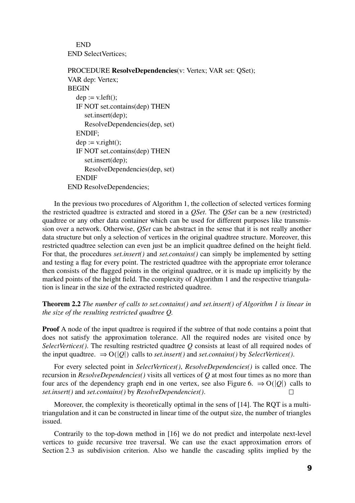END END SelectVertices;

```
PROCEDURE ResolveDependencies(v: Vertex; VAR set: QSet);
VAR dep: Vertex;
BEGIN
  dep := v.left();IF NOT set.contains(dep) THEN
     set.insert(dep);
     ResolveDependencies(dep, set)
  ENDIF;
  dep := v.right();IF NOT set.contains(dep) THEN
     set.insert(dep);
     ResolveDependencies(dep, set)
  ENDIF
END ResolveDependencies;
```
In the previous two procedures of Algorithm 1, the collection of selected vertices forming the restricted quadtree is extracted and stored in a *QSet*. The *QSet* can be a new (restricted) quadtree or any other data container which can be used for different purposes like transmission over a network. Otherwise, *QSet* can be abstract in the sense that it is not really another data structure but only a selection of vertices in the original quadtree structure. Moreover, this restricted quadtree selection can even just be an implicit quadtree defined on the height field. For that, the procedures *set.insert()* and *set.contains()* can simply be implemented by setting and testing a flag for every point. The restricted quadtree with the appropriate error tolerance then consists of the flagged points in the original quadtree, or it is made up implicitly by the marked points of the height field. The complexity of Algorithm 1 and the respective triangulation is linear in the size of the extracted restricted quadtree.

**Theorem 2.2** *The number of calls to set.contains() and set.insert() of Algorithm 1 is linear in the size of the resulting restricted quadtree Q.*

**Proof** A node of the input quadtree is required if the subtree of that node contains a point that does not satisfy the approximation tolerance. All the required nodes are visited once by *SelectVertices()*. The resulting restricted quadtree *Q* consists at least of all required nodes of the input quadtree.  $\Rightarrow O(|Q|)$  calls to *set.insert()* and *set.contains()* by *SelectVertices()*.

For every selected point in *SelectVertices()*, *ResolveDependencies()* is called once. The recursion in *ResolveDependencies()* visits all vertices of *Q* at most four times as no more than four arcs of the dependency graph end in one vertex, see also Figure 6.  $\Rightarrow O(|Q|)$  calls to *set.insert()* and *set.contains()* by *ResolveDependencies()*.  $\Box$ 

Moreover, the complexity is theoretically optimal in the sens of [14]. The RQT is a multitriangulation and it can be constructed in linear time of the output size, the number of triangles issued.

Contrarily to the top-down method in [16] we do not predict and interpolate next-level vertices to guide recursive tree traversal. We can use the exact approximation errors of Section 2.3 as subdivision criterion. Also we handle the cascading splits implied by the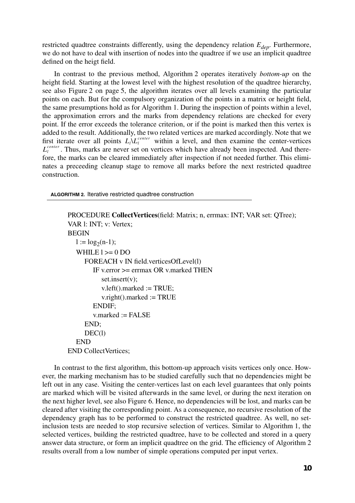restricted quadtree constraints differently, using the dependency relation  $E_{dep}$ . Furthermore, we do not have to deal with insertion of nodes into the quadtree if we use an implicit quadtree defined on the heigt field.

In contrast to the previous method, Algorithm 2 operates iteratively *bottom-up* on the height field. Starting at the lowest level with the highest resolution of the quadtree hierarchy, see also Figure 2 on page 5, the algorithm iterates over all levels examining the particular points on each. But for the compulsory organization of the points in a matrix or height field, the same presumptions hold as for Algorithm 1. During the inspection of points within a level, the approximation errors and the marks from dependency relations are checked for every point. If the error exceeds the tolerance criterion, or if the point is marked then this vertex is added to the result. Additionally, the two related vertices are marked accordingly. Note that we first iterate over all points  $L_l \setminus L_l^{center}$  within a level, and then examine the center-vertices  $L_l^{center}$ . Thus, marks are never set on vertices which have already been inspected. And therefore, the marks can be cleared immediately after inspection if not needed further. This eliminates a preceeding cleanup stage to remove all marks before the next restricted quadtree construction.

**ALGORITHM 2.** Iterative restricted quadtree construction

```
PROCEDURE CollectVertices(field: Matrix; n, errmax: INT; VAR set: QTree);
VAR l: INT; v: Vertex;
BEGIN
  l := log<sub>2</sub>(n-1);WHILE l \ge 0 DO
     FOREACH v IN field.verticesOfLevel(l)
        IF v.error \ge errmax OR v.marked THEN
           set.insert(v);
           v.left().marked := TRUE;
           v.right().marked := TRUE
        ENDIF;
        v.\text{marked} := \text{FALSE}END;
     DEC(l)
  END
END CollectVertices;
```
In contrast to the first algorithm, this bottom-up approach visits vertices only once. However, the marking mechanism has to be studied carefully such that no dependencies might be left out in any case. Visiting the center-vertices last on each level guarantees that only points are marked which will be visited afterwards in the same level, or during the next iteration on the next higher level, see also Figure 6. Hence, no dependencies will be lost, and marks can be cleared after visiting the corresponding point. As a consequence, no recursive resolution of the dependency graph has to be performed to construct the restricted quadtree. As well, no setinclusion tests are needed to stop recursive selection of vertices. Similar to Algorithm 1, the selected vertices, building the restricted quadtree, have to be collected and stored in a query answer data structure, or form an implicit quadtree on the grid. The efficiency of Algorithm 2 results overall from a low number of simple operations computed per input vertex.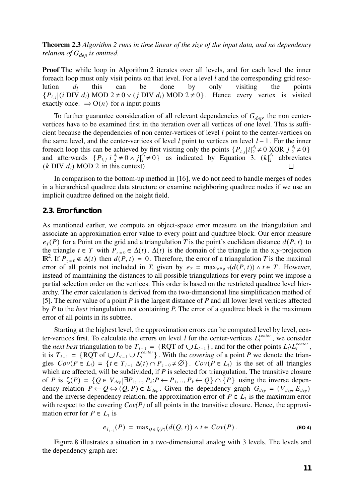**Theorem 2.3** *Algorithm 2 runs in time linear of the size of the input data, and no dependency relation of*  $G_{den}$  *is omitted.* 

**Proof** The while loop in Algorithm 2 iterates over all levels, and for each level the inner foreach loop must only visit points on that level. For a level *l* and the corresponding grid resolution  $d_l$  this can be done by only visiting the points  $\{P_{i,j} | (i \text{ DIV } d_i) \text{ MOD } 2 \neq 0 \lor (j \text{ DIV } d_i) \text{ MOD } 2 \neq 0 \}$ . Hence every vertex is visited exactly once.  $\Rightarrow$  O(*n*) for *n* input points

To further guarantee consideration of all relevant dependencies of  $G_{dep}$ , the non centervertices have to be examined first in the iteration over all vertices of one level. This is sufficient because the dependencies of non center-vertices of level *l* point to the center-vertices on the same level, and the center-vertices of level  $l$  point to vertices on level  $l-1$ . For the inner foreach loop this can be achieved by first visiting only the points and afterwards  $\{P_{i,j}|i|_2^{a_j}\neq 0 \land j|_2^{a_j}\neq 0\}$  as indicated by Equation 3.  $(k|_2^{a_j})$  abbreviates  $(k \text{ DIV } d_l) \text{ MOD } 2 \text{ in this context})$  ${P_{i,j} | i |_2^{d_i} \neq 0 \text{ XOR } j |_2^{d_i} \neq 0}$  $\{P_{i,j} | i \vert_2^{d_i} \neq 0 \land j \vert_2^{d_i} \neq 0\}$  as indicated by Equation 3.  $(k \vert_2^{d_i})$ 

In comparison to the bottom-up method in [16], we do not need to handle merges of nodes in a hierarchical quadtree data structure or examine neighboring quadtree nodes if we use an implicit quadtree defined on the height field.

#### **2.3. Error function**

As mentioned earlier, we compute an object-space error measure on the triangulation and associate an approximation error value to every point and quadtree block. Our error measure  $e_T(P)$  for a Point on the grid and a triangulation *T* is the point's euclidean distance  $d(P, t)$  to the triangle  $t \in T$  with  $P_{z=0} \in \Delta(t)$ .  $\Delta(t)$  is the domain of the triangle in the x,y-projection **IR**<sup>2</sup>. If  $P_{z=0}$  ∉ ∆(*t*) then  $d(P, t) = 0$ . Therefore, the error of a triangulation *T* is the maximal error of all points not included in *T*, given by  $e_T = \max_{\forall P \in T} (d(P, t)) \wedge t \in T$ . However, instead of maintaining the distances to all possible triangulations for every point we impose a partial selection order on the vertices. This order is based on the restricted quadtree level hierarchy. The error calculation is derived from the two-dimensional line simplification method of [5]. The error value of a point *P* is the largest distance of *P* and all lower level vertices affected by *P* to the *best* triangulation not containing *P*. The error of a quadtree block is the maximum error of all points in its subtree.

Starting at the highest level, the approximation errors can be computed level by level, center-vertices first. To calculate the errors on level *l* for the center-vertices  $L_i^{center}$ , we consider the *next best* triangulation to be  $T_{l-1} = \{ RQT of \cup L_{l-1} \}$ , and for the other points  $L_l \setminus L_l^{center}$ , it is  $T_{l-1} = \{ \text{RQT of } \cup L_{l-1} \cup L_l^{center} \}$ . With the *covering* of a point *P* we denote the triangles  $Cov(P \in L_i) = \{ t \in T_{i-1} | \Delta(t) \cap P_{z=0} \neq \emptyset \}$ .  $Cov(P \in L_i)$  is the set of all triangles which are affected, will be subdivided, if *P* is selected for triangulation. The transitive closure of *P* is  $\zeta(P) = \{Q \in V_{dep} | \exists P_1, ..., P_k; P \leftarrow P_1, ..., P_k \leftarrow Q\} \cap \{P\}$  using the inverse dependency relation  $P \leftarrow Q \Leftrightarrow (Q, P) \in E_{dep}$ . Given the dependency graph  $G_{dep} = (V_{dep}, E_{dep})$ and the inverse dependency relation, the approximation error of  $P \in L_l$  is the maximum error with respect to the covering  $Cov(P)$  of all points in the transitive closure. Hence, the approximation error for  $P \in L_i$  is  $T_{l-1} = \{ \text{RQT of } \bigcup L_{l-1} \}$ , and for the other points  $L_l \setminus L_l^{center}$  $T_{l-1} = \{ \text{RQT of } \bigcup L_{l-1} \cup L_l^{center} \}$ 

$$
e_{T_{l-1}}(P) = \max_{Q \in \zeta(P)}(d(Q, t)) \wedge t \in Cov(P).
$$
 (Eq. 4)

Figure 8 illustrates a situation in a two-dimensional analog with 3 levels. The levels and the dependency graph are: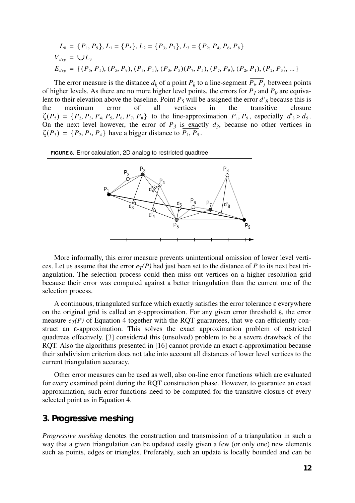$$
L_0 = \{P_1, P_9\}, L_1 = \{P_5\}, L_2 = \{P_3, P_7\}, L_3 = \{P_2, P_4, P_6, P_8\}
$$
  
\n
$$
V_{dep} = \bigcup L_3
$$
  
\n
$$
E_{dep} = \{(P_5, P_1), (P_5, P_9), (P_3, P_1), (P_3, P_5)(P_7, P_5), (P_7, P_9), (P_2, P_1), (P_2, P_3), \dots\}
$$

The error measure is the distance  $d_k$  of a point  $P_k$  to a line-segment  $P_i$ ,  $P_j$  between points of higher levels. As there are no more higher level points, the errors for  $P_1$  and  $P_9$  are equivalent to their elevation above the baseline. Point  $P_5$  will be assigned the error  $d'_8$  because this is the maximum error of all vertices in the transitive closure in the transitive closure  $\zeta(P_5) = \{P_2, P_3, P_4, P_5, P_6, P_7, P_8\}$  to the line-approximation  $P_1, P_9$ , especially  $d'_8 > d_5$ . On the next level however, the error of  $P_3$  is exactly  $d_3$ , because no other vertices in  $\zeta(P_3) = \{P_2, P_3, P_4\}$  have a bigger distance to  $P_1, P_5$ .

**FIGURE 8.** Error calculation, 2D analog to restricted quadtree



More informally, this error measure prevents unintentional omission of lower level vertices. Let us assume that the error  $e_T(P)$  had just been set to the distance of P to its next best triangulation. The selection process could then miss out vertices on a higher resolution grid because their error was computed against a better triangulation than the current one of the selection process.

A continuous, triangulated surface which exactly satisfies the error tolerance ε everywhere on the original grid is called an  $\varepsilon$ -approximation. For any given error threshold  $\varepsilon$ , the error measure  $e_T(P)$  of Equation 4 together with the RQT guarantees, that we can efficiently construct an ε-approximation. This solves the exact approximation problem of restricted quadtrees effectively. [3] considered this (unsolved) problem to be a severe drawback of the RQT. Also the algorithms presented in [16] cannot provide an exact ε-approximation because their subdivision criterion does not take into account all distances of lower level vertices to the current triangulation accuracy.

Other error measures can be used as well, also on-line error functions which are evaluated for every examined point during the RQT construction phase. However, to guarantee an exact approximation, such error functions need to be computed for the transitive closure of every selected point as in Equation 4.

#### **3. Progressive meshing**

*Progressive meshing* denotes the construction and transmission of a triangulation in such a way that a given triangulation can be updated easily given a few (or only one) new elements such as points, edges or triangles. Preferably, such an update is locally bounded and can be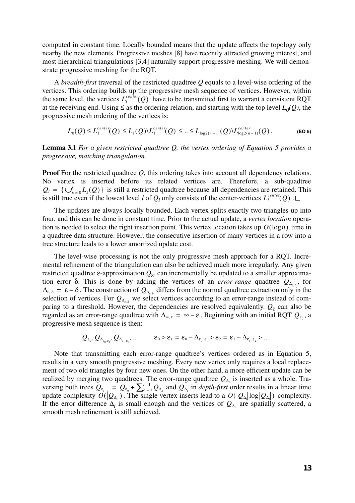computed in constant time. Locally bounded means that the update affects the topology only nearby the new elements. Progressive meshes [8] have recently attracted growing interest, and most hierarchical triangulations [3,4] naturally support progressive meshing. We will demonstrate progressive meshing for the RQT.

A *breadth-first* traversal of the restricted quadtree *Q* equals to a level-wise ordering of the vertices. This ordering builds up the progressive mesh sequence of vertices. However, within the same level, the vertices  $L_l^{center}(Q)$  have to be transmitted first to warrant a consistent RQT at the receiving end. Using  $\leq$  as the ordering relation, and starting with the top level  $L_0(Q)$ , the progressive mesh ordering of the vertices is:

$$
L_0(Q) \le L_1^{center}(Q) \le L_1(Q) \setminus L_1^{center}(Q) \le ... \le L_{\log 2(n-1)}(Q) \setminus L_{\log 2(n-1)}^{center}(Q).
$$
 (EQ 5)

**Lemma 3.1** *For a given restricted quadtree Q, the vertex ordering of Equation 5 provides a progressive, matching triangulation.*

**Proof** For the restricted quadtree *Q*, this ordering takes into account all dependency relations. No vertex is inserted before its related vertices are. Therefore, a sub-quadtree  $Q_l = \{ \bigcup_{k=0}^{l} L_k(Q) \}$  is still a restricted quadtree because all dependencies are retained. This is still true even if the lowest level *l* of  $Q_l$  only consists of the center-vertices  $L_l^{center}(Q)$ .

The updates are always locally bounded. Each vertex splits exactly two triangles up into four, and this can be done in constant time. Prior to the actual update, a *vertex location* operation is needed to select the right insertion point. This vertex location takes up  $O(\log n)$  time in a quadtree data structure. However, the consecutive insertion of many vertices in a row into a tree structure leads to a lower amortized update cost.

The level-wise processing is not the only progressive mesh approach for a RQT. Incremental refinement of the triangulation can also be achieved much more irregularly. Any given restricted quadtree ε-approximation  $Q<sub>ε</sub>$ , can incrementally be updated to a smaller approximation error δ. This is done by adding the vertices of an *error-range* quadtree  $Q_{\Delta_{\epsilon,\delta}}$ , for . The construction of  $Q_{\Delta_{s,s}}$  differs from the normal quadtree extraction only in the selection of vertices. For  $Q_{\Delta_{s,s}}$  we select vertices according to an error-range instead of comparing to a threshold. However, the dependencies are resolved equivalently.  $Q_{\varepsilon}$  can also be regarded as an error-range quadtree with  $\Delta_{\infty, \epsilon} = \infty - \epsilon$ . Beginning with an initial RQT  $Q_{\epsilon_0}$ , a progressive mesh sequence is then:  $\Delta_{\varepsilon, \delta} = \varepsilon - \delta$ . The construction of  $Q_{\Delta_{\varepsilon, \delta}}$ *Q*∆ε, <sup>δ</sup>

$$
Q_{\varepsilon_0}, Q_{\Delta_{\varepsilon_0,\varepsilon_1}}, Q_{\Delta_{\varepsilon_1,\varepsilon_2}}, \ldots \qquad \varepsilon_0 > \varepsilon_1 = \varepsilon_0 - \Delta_{\varepsilon_0,\varepsilon_1} > \varepsilon_2 = \varepsilon_1 - \Delta_{\varepsilon_1,\varepsilon_2} > \ldots.
$$

Note that transmitting each error-range quadtree's vertices ordered as in Equation 5, results in a very smooth progressive meshing. Every new vertex only requires a local replacement of two old triangles by four new ones. On the other hand, a more efficient update can be realized by merging two quadtrees. The error-range quadtree  $Q_{\Delta_i}$  is inserted as a whole. Traversing both trees  $Q_{\epsilon_{i-1}} = Q_{\epsilon_0} + \sum_{k=1}^{i-1} Q_{\Delta_k}$  and  $Q_{\Delta_i}$  in *depth-first* order results in a linear time update complexity  $O(|Q_{\Delta}|)$ . The single vertex inserts lead to a  $O(|Q_{\Delta}| \log |Q_{\Delta}|)$  complexity. If the error difference  $\Delta_i$  is small enough and the vertices of  $Q_{\Delta_i}$  are spatially scattered, a smooth mesh refinement is still achieved. *Q*<sup>∆</sup>*<sup>i</sup>*  $Q_{\epsilon_{i-1}} = Q_{\epsilon_0} + \sum_{k=1}^{i-1} Q_{\Delta_k}$  and  $Q_{\Delta_k}$  $O(|Q_{\Delta_i}|)$ . The single vertex inserts lead to a  $O(|Q_{\Delta_i}| \log |Q_{\Delta_i}|)$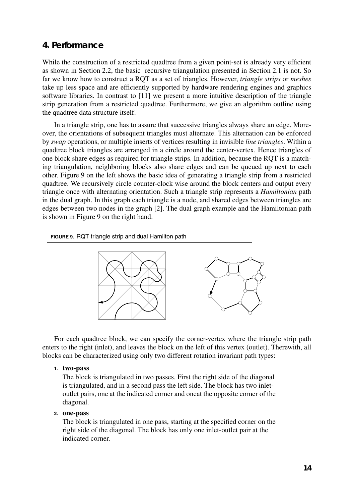## **4. Performance**

While the construction of a restricted quadtree from a given point-set is already very efficient as shown in Section 2.2, the basic recursive triangulation presented in Section 2.1 is not. So far we know how to construct a RQT as a set of triangles. However, *triangle strips* or *meshes* take up less space and are efficiently supported by hardware rendering engines and graphics software libraries. In contrast to [11] we present a more intuitive description of the triangle strip generation from a restricted quadtree. Furthermore, we give an algorithm outline using the quadtree data structure itself.

In a triangle strip, one has to assure that successive triangles always share an edge. Moreover, the orientations of subsequent triangles must alternate. This alternation can be enforced by *swap* operations, or multiple inserts of vertices resulting in invisible *line triangles*. Within a quadtree block triangles are arranged in a circle around the center-vertex. Hence triangles of one block share edges as required for triangle strips. In addition, because the RQT is a matching triangulation, neighboring blocks also share edges and can be queued up next to each other. Figure 9 on the left shows the basic idea of generating a triangle strip from a restricted quadtree. We recursively circle counter-clock wise around the block centers and output every triangle once with alternating orientation. Such a triangle strip represents a *Hamiltonian* path in the dual graph. In this graph each triangle is a node, and shared edges between triangles are edges between two nodes in the graph [2]. The dual graph example and the Hamiltonian path is shown in Figure 9 on the right hand.

#### **FIGURE 9.** RQT triangle strip and dual Hamilton path



For each quadtree block, we can specify the corner-vertex where the triangle strip path enters to the right (inlet), and leaves the block on the left of this vertex (outlet). Therewith, all blocks can be characterized using only two different rotation invariant path types:

#### **1. two-pass**

The block is triangulated in two passes. First the right side of the diagonal is triangulated, and in a second pass the left side. The block has two inletoutlet pairs, one at the indicated corner and oneat the opposite corner of the diagonal.

#### **2. one-pass**

The block is triangulated in one pass, starting at the specified corner on the right side of the diagonal. The block has only one inlet-outlet pair at the indicated corner.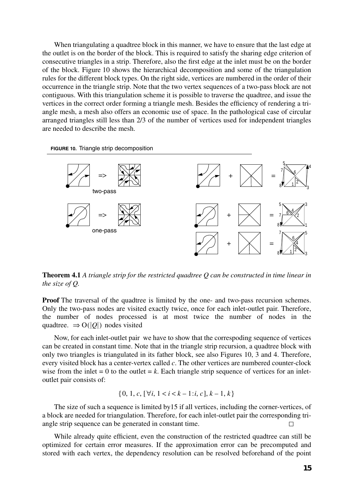When triangulating a quadtree block in this manner, we have to ensure that the last edge at the outlet is on the border of the block. This is required to satisfy the sharing edge criterion of consecutive triangles in a strip. Therefore, also the first edge at the inlet must be on the border of the block. Figure 10 shows the hierarchical decomposition and some of the triangulation rules for the different block types. On the right side, vertices are numbered in the order of their occurrence in the triangle strip. Note that the two vertex sequences of a two-pass block are not contiguous. With this triangulation scheme it is possible to traverse the quadtree, and issue the vertices in the correct order forming a triangle mesh. Besides the efficiency of rendering a triangle mesh, a mesh also offers an economic use of space. In the pathological case of circular arranged triangles still less than 2/3 of the number of vertices used for independent triangles are needed to describe the mesh.

**FIGURE 10.** Triangle strip decomposition



**Theorem 4.1** *A triangle strip for the restricted quadtree Q can be constructed in time linear in the size of Q.*

**Proof** The traversal of the quadtree is limited by the one- and two-pass recursion schemes. Only the two-pass nodes are visited exactly twice, once for each inlet-outlet pair. Therefore, the number of nodes processed is at most twice the number of nodes in the quadtree.  $\Rightarrow O(|Q|)$  nodes visited

Now, for each inlet-outlet pair we have to show that the correspoding sequence of vertices can be created in constant time. Note that in the triangle strip recursion, a quadtree block with only two triangles is triangulated in its father block, see also Figures 10, 3 and 4. Therefore, every visited block has a center-vertex called *c*. The other vertices are numbered counter-clock wise from the inlet  $= 0$  to the outlet  $= k$ . Each triangle strip sequence of vertices for an inletoutlet pair consists of:

$$
\{0, 1, c, [\forall i, 1 < i < k - 1 : i, c], k - 1, k\}
$$

The size of such a sequence is limited by15 if all vertices, including the corner-vertices, of a block are needed for triangulation. Therefore, for each inlet-outlet pair the corresponding triangle strip sequence can be generated in constant time.  $\Box$ 

While already quite efficient, even the construction of the restricted quadtree can still be optimized for certain error measures. If the approximation error can be precomputed and stored with each vertex, the dependency resolution can be resolved beforehand of the point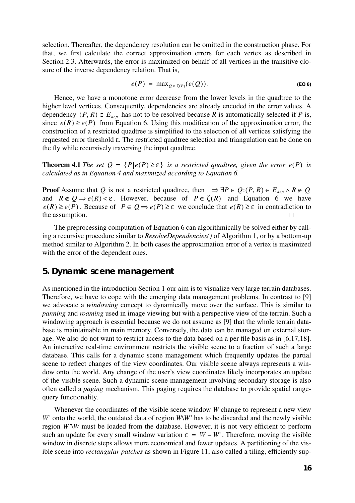selection. Thereafter, the dependency resolution can be omitted in the construction phase. For that, we first calculate the correct approximation errors for each vertex as described in Section 2.3. Afterwards, the error is maximized on behalf of all vertices in the transitive closure of the inverse dependency relation. That is,

$$
e(P) = \max_{Q \in \zeta(P)} (e(Q)).
$$
 (Eq 6)

Hence, we have a monotone error decrease from the lower levels in the quadtree to the higher level vertices. Consequently, dependencies are already encoded in the error values. A dependency  $(P, R) \in E_{dep}$  has not to be resolved because *R* is automatically selected if *P* is, since  $e(R) \ge e(P)$  from Equation 6. Using this modification of the approximation error, the construction of a restricted quadtree is simplified to the selection of all vertices satisfying the requested error threshold ε. The restricted quadtree selection and triangulation can be done on the fly while recursively traversing the input quadtree.

**Theorem 4.1** *The set*  $Q = {P | e(P) \ge \varepsilon}$  *is a restricted quadtree, given the error*  $e(P)$  *is calculated as in Equation 4 and maximized according to Equation 6.*

**Proof** Assume that Q is not a restricted quadtree, then  $\Rightarrow \exists P \in Q: (P, R) \in E_{\text{dep}} \land R \notin Q$ and  $R \notin Q \Rightarrow e(R) < \varepsilon$ . However, because of  $P \in \zeta(R)$  and Equation 6 we have  $e(R) \ge e(P)$ . Because of  $P \in Q \Rightarrow e(P) \ge \varepsilon$  we conclude that  $e(R) \ge \varepsilon$  in contradiction to the assumption.  $\Box$ 

The preprocessing computation of Equation 6 can algorithmically be solved either by calling a recursive procedure similar to *ResolveDependencies()* of Algorithm 1, or by a bottom-up method similar to Algorithm 2. In both cases the approximation error of a vertex is maximized with the error of the dependent ones.

#### **5. Dynamic scene management**

As mentioned in the introduction Section 1 our aim is to visualize very large terrain databases. Therefore, we have to cope with the emerging data management problems. In contrast to [9] we advocate a *windowing* concept to dynamically move over the surface. This is similar to *panning* and *roaming* used in image viewing but with a perspective view of the terrain. Such a windowing approach is essential because we do not assume as [9] that the whole terrain database is maintainable in main memory. Conversely, the data can be managed on external storage. We also do not want to restrict access to the data based on a per file basis as in [6,17,18]. An interactive real-time environment restricts the visible scene to a fraction of such a large database. This calls for a dynamic scene management which frequently updates the partial scene to reflect changes of the view coordinates. Our visible scene always represents a window onto the world. Any change of the user's view coordinates likely incorporates an update of the visible scene. Such a dynamic scene management involving secondary storage is also often called a *paging* mechanism. This paging requires the database to provide spatial rangequery functionality.

Whenever the coordinates of the visible scene window *W* change to represent a new view *W'* onto the world, the outdated data of region *W\W'* has to be discarded and the newly visible region *W'\W* must be loaded from the database. However, it is not very efficient to perform such an update for every small window variation  $\varepsilon = W - W'$ . Therefore, moving the visible window in discrete steps allows more economical and fewer updates. A partitioning of the visible scene into *rectangular patches* as shown in Figure 11, also called a tiling, efficiently sup-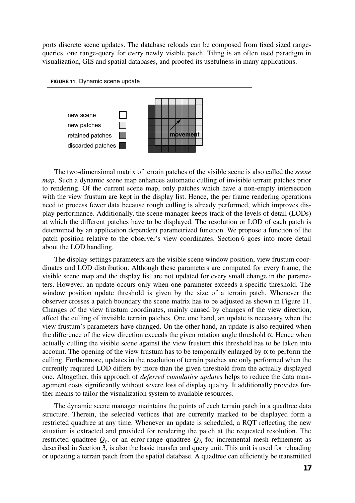ports discrete scene updates. The database reloads can be composed from fixed sized rangequeries, one range-query for every newly visible patch. Tiling is an often used paradigm in visualization, GIS and spatial databases, and proofed its usefulness in many applications.





The two-dimensional matrix of terrain patches of the visible scene is also called the *scene map*. Such a dynamic scene map enhances automatic culling of invisible terrain patches prior to rendering. Of the current scene map, only patches which have a non-empty intersection with the view frustum are kept in the display list. Hence, the per frame rendering operations need to process fewer data because rough culling is already performed, which improves display performance. Additionally, the scene manager keeps track of the levels of detail (LODs) at which the different patches have to be displayed. The resolution or LOD of each patch is determined by an application dependent parametrized function. We propose a function of the patch position relative to the observer's view coordinates. Section 6 goes into more detail about the LOD handling.

The display settings parameters are the visible scene window position, view frustum coordinates and LOD distribution. Although these parameters are computed for every frame, the visible scene map and the display list are not updated for every small change in the parameters. However, an update occurs only when one parameter exceeds a specific threshold. The window position update threshold is given by the size of a terrain patch. Whenever the observer crosses a patch boundary the scene matrix has to be adjusted as shown in Figure 11. Changes of the view frustum coordinates, mainly caused by changes of the view direction, affect the culling of invisible terrain patches. One one hand, an update is necessary when the view frustum's parameters have changed. On the other hand, an update is also required when the difference of the view direction exceeds the given rotation angle threshold  $\alpha$ . Hence when actually culling the visible scene against the view frustum this threshold has to be taken into account. The opening of the view frustum has to be temporarily enlarged by  $\alpha$  to perform the culling. Furthermore, updates in the resolution of terrain patches are only performed when the currently required LOD differs by more than the given threshold from the actually displayed one. Altogether, this approach of *deferred cumulative updates* helps to reduce the data management costs significantly without severe loss of display quality. It additionally provides further means to tailor the visualization system to available resources.

The dynamic scene manager maintains the points of each terrain patch in a quadtree data structure. Therein, the selected vertices that are currently marked to be displayed form a restricted quadtree at any time. Whenever an update is scheduled, a RQT reflecting the new situation is extracted and provided for rendering the patch at the requested resolution. The restricted quadtree  $Q_{\varepsilon}$ , or an error-range quadtree  $Q_{\Delta}$  for incremental mesh refinement as described in Section 3, is also the basic transfer and query unit. This unit is used for reloading or updating a terrain patch from the spatial database. A quadtree can efficiently be transmitted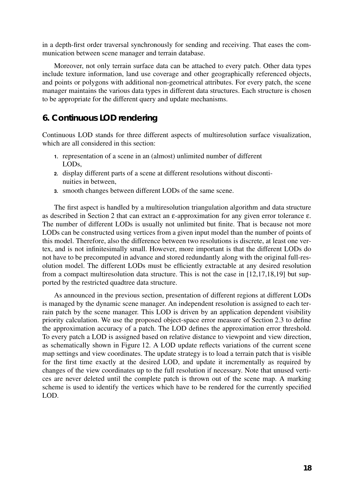in a depth-first order traversal synchronously for sending and receiving. That eases the communication between scene manager and terrain database.

Moreover, not only terrain surface data can be attached to every patch. Other data types include texture information, land use coverage and other geographically referenced objects, and points or polygons with additional non-geometrical attributes. For every patch, the scene manager maintains the various data types in different data structures. Each structure is chosen to be appropriate for the different query and update mechanisms.

## **6. Continuous LOD rendering**

Continuous LOD stands for three different aspects of multiresolution surface visualization, which are all considered in this section:

- **1.** representation of a scene in an (almost) unlimited number of different LODs,
- **2.** display different parts of a scene at different resolutions without discontinuities in between,
- **3.** smooth changes between different LODs of the same scene.

The first aspect is handled by a multiresolution triangulation algorithm and data structure as described in Section 2 that can extract an ε-approximation for any given error tolerance ε. The number of different LODs is usually not unlimited but finite. That is because not more LODs can be constructed using vertices from a given input model than the number of points of this model. Therefore, also the difference between two resolutions is discrete, at least one vertex, and is not infinitesimally small. However, more important is that the different LODs do not have to be precomputed in advance and stored redundantly along with the original full-resolution model. The different LODs must be efficiently extractable at any desired resolution from a compact multiresolution data structure. This is not the case in [12,17,18,19] but supported by the restricted quadtree data structure.

As announced in the previous section, presentation of different regions at different LODs is managed by the dynamic scene manager. An independent resolution is assigned to each terrain patch by the scene manager. This LOD is driven by an application dependent visibility priority calculation. We use the proposed object-space error measure of Section 2.3 to define the approximation accuracy of a patch. The LOD defines the approximation error threshold. To every patch a LOD is assigned based on relative distance to viewpoint and view direction, as schematically shown in Figure 12. A LOD update reflects variations of the current scene map settings and view coordinates. The update strategy is to load a terrain patch that is visible for the first time exactly at the desired LOD, and update it incrementally as required by changes of the view coordinates up to the full resolution if necessary. Note that unused vertices are never deleted until the complete patch is thrown out of the scene map. A marking scheme is used to identify the vertices which have to be rendered for the currently specified LOD.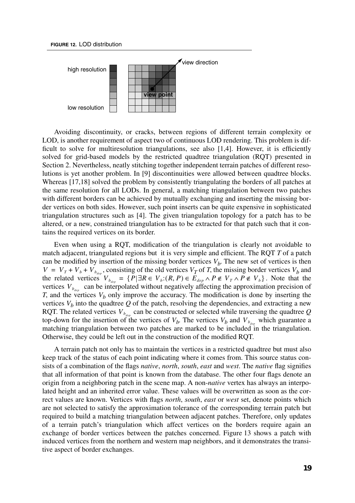



Avoiding discontinuity, or cracks, between regions of different terrain complexity or LOD, is another requirement of aspect two of continuous LOD rendering. This problem is difficult to solve for multiresolution triangulations, see also [1,4]. However, it is efficiently solved for grid-based models by the restricted quadtree triangulation (RQT) presented in Section 2. Nevertheless, neatly stitching together independent terrain patches of different resolutions is yet another problem. In [9] discontinuities were allowed between quadtree blocks. Whereas [17,18] solved the problem by consistently triangulating the borders of all patches at the same resolution for all LODs. In general, a matching triangulation between two patches with different borders can be achieved by mutually exchanging and inserting the missing border vertices on both sides. However, such point inserts can be quite expensive in sophisticated triangulation structures such as [4]. The given triangulation topology for a patch has to be altered, or a new, constrained triangulation has to be extracted for that patch such that it contains the required vertices on its border.

Even when using a RQT, modification of the triangulation is clearly not avoidable to match adjacent, triangulated regions but it is very simple and efficient. The RQT *T* of a patch can be modified by insertion of the missing border vertices  $V_b$ . The new set of vertices is then , consisting of the old vertices  $V_T$  of *T*, the missing border vertices  $V_b$  and the related vertices  $V_{b_{\text{des}}} = \{P | \exists R \in V_b : (R, P) \in E_{\text{dep}} \land P \notin V_T \land P \notin V_b \}$ . Note that the vertices  $V_{b_{dep}}$  can be interpolated without negatively affecting the approximation precision of *T*, and the vertices  $V_b$  only improve the accuracy. The modification is done by inserting the vertices  $V_b$  into the quadtree  $Q$  of the patch, resolving the dependencies, and extracting a new RQT. The related vertices  $V_{b_{dep}}$  can be constructed or selected while traversing the quadtree  $Q$ top-down for the insertion of the vertices of  $V_b$ . The vertices  $V_b$  and  $V_{b_{dep}}$  which guarantee a matching triangulation between two patches are marked to be included in the triangulation. Otherwise, they could be left out in the construction of the modified RQT.  $V = V_T + V_b + V_{b_{dep}}$  $V_{b_{dep}} = \{ P | \exists R \in V_b : (R, P) \in E_{dep} \land P \notin V_T \land P \notin V_b \}$ 

A terrain patch not only has to maintain the vertices in a restricted quadtree but must also keep track of the status of each point indicating where it comes from. This source status consists of a combination of the flags *native*, *north*, *south*, *east* and *west*. The *native* flag signifies that all information of that point is known from the database. The other four flags denote an origin from a neighboring patch in the scene map. A non-*native* vertex has always an interpolated height and an inherited error value. These values will be overwritten as soon as the correct values are known. Vertices with flags *north*, *south*, *east* or *west* set, denote points which are not selected to satisfy the approximation tolerance of the corresponding terrain patch but required to build a matching triangulation between adjacent patches. Therefore, only updates of a terrain patch's triangulation which affect vertices on the borders require again an exchange of border vertices between the patches concerned. Figure 13 shows a patch with induced vertices from the northern and western map neighbors, and it demonstrates the transitive aspect of border exchanges.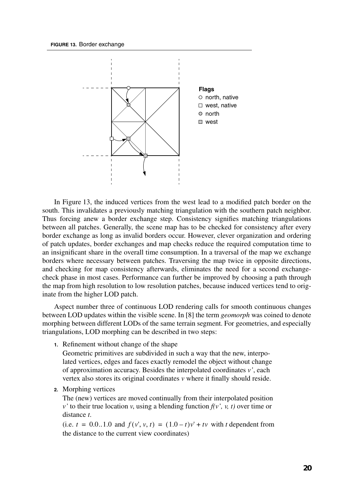

In Figure 13, the induced vertices from the west lead to a modified patch border on the south. This invalidates a previously matching triangulation with the southern patch neighbor. Thus forcing anew a border exchange step. Consistency signifies matching triangulations between all patches. Generally, the scene map has to be checked for consistency after every border exchange as long as invalid borders occur. However, clever organization and ordering of patch updates, border exchanges and map checks reduce the required computation time to an insignificant share in the overall time consumption. In a traversal of the map we exchange borders where necessary between patches. Traversing the map twice in opposite directions, and checking for map consistency afterwards, eliminates the need for a second exchangecheck phase in most cases. Performance can further be improved by choosing a path through the map from high resolution to low resolution patches, because induced vertices tend to originate from the higher LOD patch.

Aspect number three of continuous LOD rendering calls for smooth continuous changes between LOD updates within the visible scene. In [8] the term *geomorph* was coined to denote morphing between different LODs of the same terrain segment. For geometries, and especially triangulations, LOD morphing can be described in two steps:

**1.** Refinement without change of the shape

Geometric primitives are subdivided in such a way that the new, interpolated vertices, edges and faces exactly remodel the object without change of approximation accuracy. Besides the interpolated coordinates *v'*, each vertex also stores its original coordinates *v* where it finally should reside.

**2.** Morphing vertices

The (new) vertices are moved continually from their interpolated position *v*' to their true location *v*, using a blending function  $f(v', v, t)$  over time or distance *t*.

 $(i.e. t = 0.0..1.0$  and  $f(v', v, t) = (1.0-t)v' + tv$  with *t* dependent from the distance to the current view coordinates)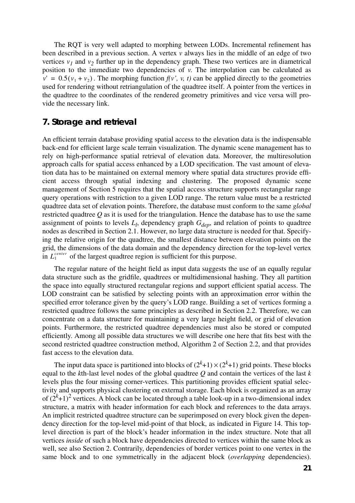The RQT is very well adapted to morphing between LODs. Incremental refinement has been described in a previous section. A vertex *v* always lies in the middle of an edge of two vertices  $v_1$  and  $v_2$  further up in the dependency graph. These two vertices are in diametrical position to the immediate two dependencies of *v*. The interpolation can be calculated as  $v' = 0.5(v_1 + v_2)$ . The morphing function  $f(v', v, t)$  can be applied directly to the geometries used for rendering without retriangulation of the quadtree itself. A pointer from the vertices in the quadtree to the coordinates of the rendered geometry primitives and vice versa will provide the necessary link.

### **7. Storage and retrieval**

An efficient terrain database providing spatial access to the elevation data is the indispensable back-end for efficient large scale terrain visualization. The dynamic scene management has to rely on high-performance spatial retrieval of elevation data. Moreover, the multiresolution approach calls for spatial access enhanced by a LOD specification. The vast amount of elevation data has to be maintained on external memory where spatial data structures provide efficient access through spatial indexing and clustering. The proposed dynamic scene management of Section 5 requires that the spatial access structure supports rectangular range query operations with restriction to a given LOD range. The return value must be a restricted quadtree data set of elevation points. Therefore, the database must conform to the same *global* restricted quadtree *Q* as it is used for the triangulation. Hence the database has to use the same assignment of points to levels  $L_l$ , dependency graph  $G_{dep}$ , and relation of points to quadtree nodes as described in Section 2.1. However, no large data structure is needed for that. Specifying the relative origin for the quadtree, the smallest distance between elevation points on the grid, the dimensions of the data domain and the dependency direction for the top-level vertex in  $L_1^{center}$  of the largest quadtree region is sufficient for this purpose.

The regular nature of the height field as input data suggests the use of an equally regular data structure such as the gridfile, quadtrees or multidimensional hashing. They all partition the space into equally structured rectangular regions and support efficient spatial access. The LOD constraint can be satisfied by selecting points with an approximation error within the specified error tolerance given by the query's LOD range. Building a set of vertices forming a restricted quadtree follows the same principles as described in Section 2.2. Therefore, we can concentrate on a data structure for maintaining a very large height field, or grid of elevation points. Furthermore, the restricted quadtree dependencies must also be stored or computed efficiently. Among all possible data structures we will describe one here that fits best with the second restricted quadtree construction method, Algorithm 2 of Section 2.2, and that provides fast access to the elevation data.

The input data space is partitioned into blocks of  $(2^k+1) \times (2^k+1)$  grid points. These blocks equal to the *k*th-last level nodes of the global quadtree *Q* and contain the vertices of the last *k* levels plus the four missing corner-vertices. This partitioning provides efficient spatial selectivity and supports physical clustering on external storage. Each block is organized as an array of  $(2^k+1)^2$  vertices. A block can be located through a table look-up in a two-dimensional index structure, a matrix with header information for each block and references to the data arrays. An implicit restricted quadtree structure can be superimposed on every block given the dependency direction for the top-level mid-point of that block, as indicated in Figure 14. This toplevel direction is part of the block's header information in the index structure. Note that all vertices *inside* of such a block have dependencies directed to vertices within the same block as well, see also Section 2. Contrarily, dependencies of border vertices point to one vertex in the same block and to one symmetrically in the adjacent block (*overlapping* dependencies).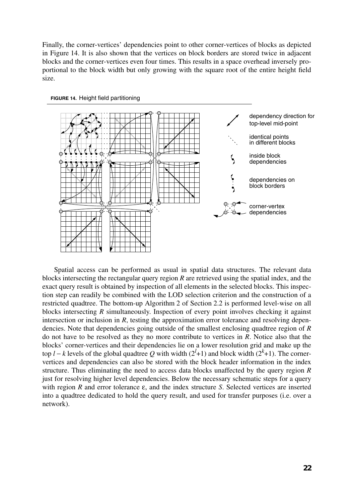Finally, the corner-vertices' dependencies point to other corner-vertices of blocks as depicted in Figure 14. It is also shown that the vertices on block borders are stored twice in adjacent blocks and the corner-vertices even four times. This results in a space overhead inversely proportional to the block width but only growing with the square root of the entire height field size.





Spatial access can be performed as usual in spatial data structures. The relevant data blocks intersecting the rectangular query region *R* are retrieved using the spatial index, and the exact query result is obtained by inspection of all elements in the selected blocks. This inspection step can readily be combined with the LOD selection criterion and the construction of a restricted quadtree. The bottom-up Algorithm 2 of Section 2.2 is performed level-wise on all blocks intersecting *R* simultaneously. Inspection of every point involves checking it against intersection or inclusion in *R*, testing the approximation error tolerance and resolving dependencies. Note that dependencies going outside of the smallest enclosing quadtree region of *R* do not have to be resolved as they no more contribute to vertices in *R*. Notice also that the blocks' corner-vertices and their dependencies lie on a lower resolution grid and make up the top *l* − *k* levels of the global quadtree Q with width ( $2^{l}$ +1) and block width ( $2^{k}$ +1). The cornervertices and dependencies can also be stored with the block header information in the index structure. Thus eliminating the need to access data blocks unaffected by the query region *R* just for resolving higher level dependencies. Below the necessary schematic steps for a query with region *R* and error tolerance ε, and the index structure *S*. Selected vertices are inserted into a quadtree dedicated to hold the query result, and used for transfer purposes (i.e. over a network).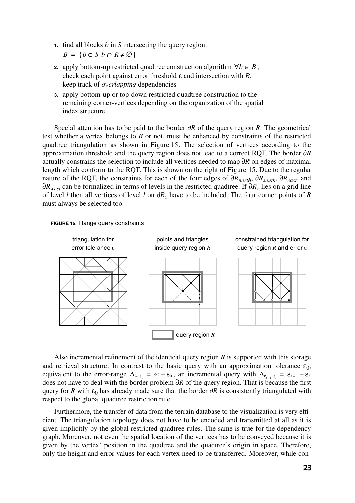**1.** find all blocks *b* in *S* intersecting the query region:

 $B = \{ b \in S | b \cap R \neq \emptyset \}$ 

- **2.** apply bottom-up restricted quadtree construction algorithm  $\forall b \in B$ , check each point against error threshold ε and intersection with *R*, keep track of *overlapping* dependencies
- **3.** apply bottom-up or top-down restricted quadtree construction to the remaining corner-vertices depending on the organization of the spatial index structure

Special attention has to be paid to the border ∂*R* of the query region *R*. The geometrical test whether a vertex belongs to *R* or not, must be enhanced by constraints of the restricted quadtree triangulation as shown in Figure 15. The selection of vertices according to the approximation threshold and the query region does not lead to a correct RQT. The border ∂*R* actually constrains the selection to include all vertices needed to map ∂*R* on edges of maximal length which conform to the RQT. This is shown on the right of Figure 15. Due to the regular nature of the RQT, the constraints for each of the four edges of ∂*Rnorth*, ∂*Rsouth*, ∂*Reast*, and ∂*R<sub>west</sub>* can be formalized in terms of levels in the restricted quadtree. If ∂*R<sub>x</sub>* lies on a grid line of level *l* then all vertices of level *l* on ∂*Rx* have to be included. The four corner points of *R* must always be selected too.





Also incremental refinement of the identical query region *R* is supported with this storage and retrieval structure. In contrast to the basic query with an approximation tolerance  $\varepsilon_0$ , equivalent to the error-range  $\Delta_{\omega, \varepsilon_0} = \infty - \varepsilon_0$ , an incremental query with does not have to deal with the border problem ∂*R* of the query region. That is because the first query for *R* with  $\varepsilon_0$  has already made sure that the border ∂*R* is consistently triangulated with respect to the global quadtree restriction rule.  $\Delta_{\infty, \epsilon_0} = \infty - \epsilon_0$ , an incremental query with  $\Delta_{\epsilon_{i-1}, \epsilon_i} = \epsilon_{i-1} - \epsilon_i$ 

Furthermore, the transfer of data from the terrain database to the visualization is very efficient. The triangulation topology does not have to be encoded and transmitted at all as it is given implicitly by the global restricted quadtree rules. The same is true for the dependency graph. Moreover, not even the spatial location of the vertices has to be conveyed because it is given by the vertex' position in the quadtree and the quadtree's origin in space. Therefore, only the height and error values for each vertex need to be transferred. Moreover, while con-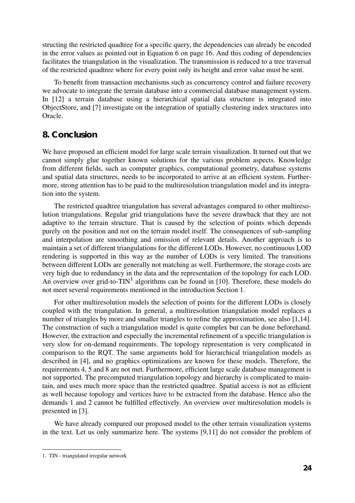structing the restricted quadtree for a specific query, the dependencies can already be encoded in the error values as pointed out in Equation 6 on page 16. And this coding of dependencies facilitates the triangulation in the visualization. The transmission is reduced to a tree traversal of the restricted quadtree where for every point only its height and error value must be sent.

To benefit from transaction mechanisms such as concurrency control and failure recovery we advocate to integrate the terrain database into a commercial database management system. In [12] a terrain database using a hierarchical spatial data structure is integrated into ObjectStore, and [7] investigate on the integration of spatially clustering index structures into Oracle.

## **8. Conclusion**

We have proposed an efficient model for large scale terrain visualization. It turned out that we cannot simply glue together known solutions for the various problem aspects. Knowledge from different fields, such as computer graphics, computational geometry, database systems and spatial data structures, needs to be incorporated to arrive at an efficient system. Furthermore, strong attention has to be paid to the multiresolution triangulation model and its integration into the system.

The restricted quadtree triangulation has several advantages compared to other multiresolution triangulations. Regular grid triangulations have the severe drawback that they are not adaptive to the terrain structure. That is caused by the selection of points which depends purely on the position and not on the terrain model itself. The consequences of sub-sampling and interpolation are smoothing and omission of relevant details. Another approach is to maintain a set of different triangulations for the different LODs. However, no continuous LOD rendering is supported in this way as the number of LODs is very limited. The transitions between different LODs are generally not matching as well. Furthermore, the storage costs are very high due to redundancy in the data and the representation of the topology for each LOD. An overview over grid-to- $TIN<sup>1</sup>$  algorithms can be found in [10]. Therefore, these models do not meet several requirements mentioned in the introduction Section 1.

For other multiresolution models the selection of points for the different LODs is closely coupled with the triangulation. In general, a multiresolution triangulation model replaces a number of triangles by more and smaller triangles to refine the approximation, see also [1,14]. The construction of such a triangulation model is quite complex but can be done beforehand. However, the extraction and especially the incremental refinement of a specific triangulation is very slow for on-demand requirements. The topology representation is very complicated in comparison to the RQT. The same arguments hold for hierarchical triangulation models as described in [4], and no graphics optimizations are known for these models. Therefore, the requirements 4, 5 and 8 are not met. Furthermore, efficient large scale database management is not supported. The precomputed triangulation topology and hierarchy is complicated to maintain, and uses much more space than the restricted quadtree. Spatial access is not as efficient as well because topology and vertices have to be extracted from the database. Hence also the demands 1 and 2 cannot be fulfilled effectively. An overview over multiresolution models is presented in [3].

We have already compared our proposed model to the other terrain visualization systems in the text. Let us only summarize here. The systems [9,11] do not consider the problem of

<sup>1.</sup> TIN - triangulated irregular network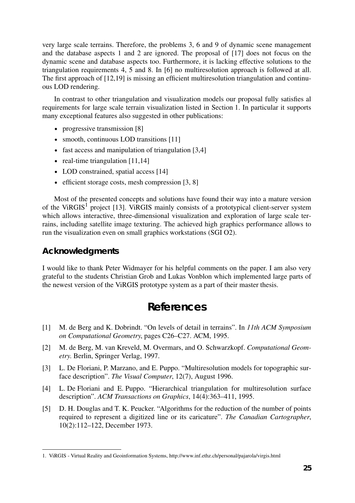very large scale terrains. Therefore, the problems 3, 6 and 9 of dynamic scene management and the database aspects 1 and 2 are ignored. The proposal of [17] does not focus on the dynamic scene and database aspects too. Furthermore, it is lacking effective solutions to the triangulation requirements 4, 5 and 8. In [6] no multiresolution approach is followed at all. The first approach of [12,19] is missing an efficient multiresolution triangulation and continuous LOD rendering.

In contrast to other triangulation and visualization models our proposal fully satisfies al requirements for large scale terrain visualization listed in Section 1. In particular it supports many exceptional features also suggested in other publications:

- progressive transmission [8]
- smooth, continuous LOD transitions [11]
- fast access and manipulation of triangulation [3,4]
- real-time triangulation [11,14]
- LOD constrained, spatial access [14]
- efficient storage costs, mesh compression [3, 8]

Most of the presented concepts and solutions have found their way into a mature version of the ViRGIS<sup>1</sup> project [13]. ViRGIS mainly consists of a prototypical client-server system which allows interactive, three-dimensional visualization and exploration of large scale terrains, including satellite image texturing. The achieved high graphics performance allows to run the visualization even on small graphics workstations (SGI O2).

## **Acknowledgments**

I would like to thank Peter Widmayer for his helpful comments on the paper. I am also very grateful to the students Christian Grob and Lukas Vonblon which implemented large parts of the newest version of the ViRGIS prototype system as a part of their master thesis.

## **References**

- [1] M. de Berg and K. Dobrindt. "On levels of detail in terrains". In *11th ACM Symposium on Computational Geometry*, pages C26–C27. ACM, 1995.
- [2] M. de Berg, M. van Kreveld, M. Overmars, and O. Schwarzkopf. *Computational Geometry*. Berlin, Springer Verlag, 1997.
- [3] L. De Floriani, P. Marzano, and E. Puppo. "Multiresolution models for topographic surface description". *The Visual Computer*, 12(7), August 1996.
- [4] L. De Floriani and E. Puppo. "Hierarchical triangulation for multiresolution surface description". *ACM Transactions on Graphics*, 14(4):363–411, 1995.
- [5] D. H. Douglas and T. K. Peucker. "Algorithms for the reduction of the number of points required to represent a digitized line or its caricature". *The Canadian Cartographer*, 10(2):112–122, December 1973.

<sup>1.</sup> ViRGIS - Virtual Reality and Geoinformation Systems, http://www.inf.ethz.ch/personal/pajarola/virgis.html